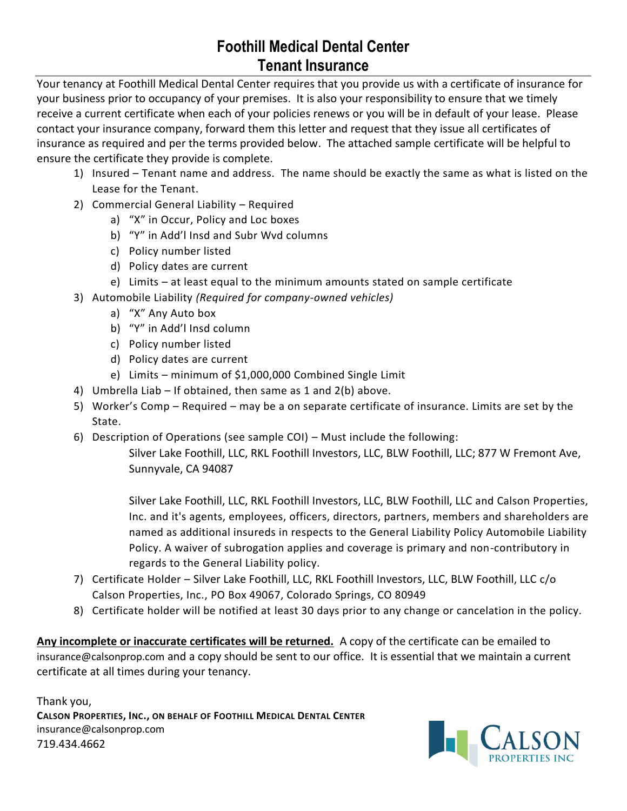## **Foothill Medical Dental Center Tenant Insurance**

Your tenancy at Foothill Medical Dental Center requires that you provide us with a certificate of insurance for your business prior to occupancy of your premises. It is also your responsibility to ensure that we timely receive a current certificate when each of your policies renews or you will be in default of your lease. Please contact your insurance company, forward them this letter and request that they issue all certificates of insurance as required and per the terms provided below. The attached sample certificate will be helpful to ensure the certificate they provide is complete.

- 1) Insured Tenant name and address. The name should be exactly the same as what is listed on the Lease for the Tenant.
- 2) Commercial General Liability Required
	- a) "X" in Occur, Policy and Loc boxes
	- b) "Y" in Add'l Insd and Subr Wvd columns
	- c) Policy number listed
	- d) Policy dates are current
	- e) Limits at least equal to the minimum amounts stated on sample certificate
- 3) Automobile Liability *(Required for company-owned vehicles)*
	- a) "X" Any Auto box
	- b) "Y" in Add'l Insd column
	- c) Policy number listed
	- d) Policy dates are current
	- e) Limits minimum of \$1,000,000 Combined Single Limit
- 4) Umbrella Liab If obtained, then same as 1 and 2(b) above.
- 5) Worker's Comp Required may be a on separate certificate of insurance. Limits are set by the State.
- 6) Description of Operations (see sample COI) Must include the following:

Silver Lake Foothill, LLC, RKL Foothill Investors, LLC, BLW Foothill, LLC; 877 W Fremont Ave, Sunnyvale, CA 94087

Silver Lake Foothill, LLC, RKL Foothill Investors, LLC, BLW Foothill, LLC and Calson Properties, Inc. and it's agents, employees, officers, directors, partners, members and shareholders are named as additional insureds in respects to the General Liability Policy Automobile Liability Policy. A waiver of subrogation applies and coverage is primary and non-contributory in regards to the General Liability policy.

- 7) Certificate Holder Silver Lake Foothill, LLC, RKL Foothill Investors, LLC, BLW Foothill, LLC c/o Calson Properties, Inc., PO Box 49067, Colorado Springs, CO 80949
- 8) Certificate holder will be notified at least 30 days prior to any change or cancelation in the policy.

**Any incomplete or inaccurate certificates will be returned.** A copy of the certificate can be emailed to insurance@calsonprop.com and a copy should be sent to our office. It is essential that we maintain a current certificate at all times during your tenancy.

Thank you, **CALSON PROPERTIES, INC., ON BEHALF OF FOOTHILL MEDICAL DENTAL CENTER** insurance@calsonprop.com 719.434.4662